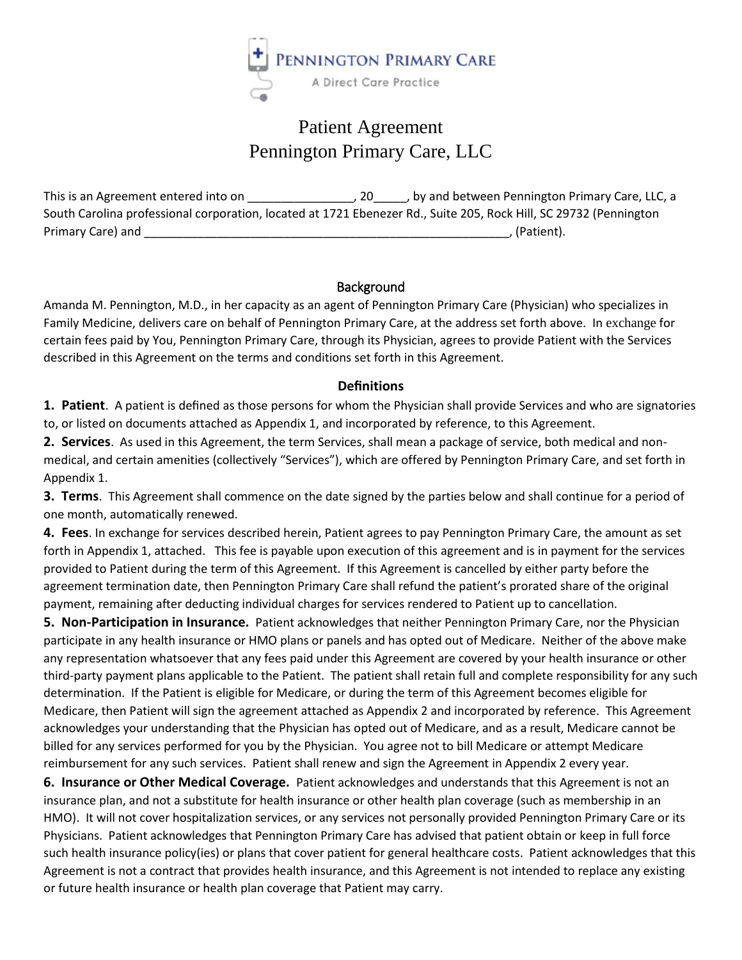

# Patient Agreement Pennington Primary Care, LLC

This is an Agreement entered into on \_\_\_\_\_\_\_\_\_\_\_\_\_\_\_\_, 20\_\_\_\_\_, by and between Pennington Primary Care, LLC, a South Carolina professional corporation, located at 1721 Ebenezer Rd., Suite 205, Rock Hill, SC 29732 (Pennington Primary Care) and \_\_\_\_\_\_\_\_\_\_\_\_\_\_\_\_\_\_\_\_\_\_\_\_\_\_\_\_\_\_\_\_\_\_\_\_\_\_\_\_\_\_\_\_\_\_\_\_\_\_\_\_\_\_\_, (Patient).

## **Background**

Amanda M. Pennington, M.D., in her capacity as an agent of Pennington Primary Care (Physician) who specializes in Family Medicine, delivers care on behalf of Pennington Primary Care, at the address set forth above. In exchange for certain fees paid by You, Pennington Primary Care, through its Physician, agrees to provide Patient with the Services described in this Agreement on the terms and conditions set forth in this Agreement.

## **Definitions**

**1. Patient**. A patient is defined as those persons for whom the Physician shall provide Services and who are signatories to, or listed on documents attached as Appendix 1, and incorporated by reference, to this Agreement.

**2. Services**. As used in this Agreement, the term Services, shall mean a package of service, both medical and nonmedical, and certain amenities (collectively "Services"), which are offered by Pennington Primary Care, and set forth in Appendix 1.

**3. Terms**. This Agreement shall commence on the date signed by the parties below and shall continue for a period of one month, automatically renewed.

**4. Fees**. In exchange for services described herein, Patient agrees to pay Pennington Primary Care, the amount as set forth in Appendix 1, attached. This fee is payable upon execution of this agreement and is in payment for the services provided to Patient during the term of this Agreement. If this Agreement is cancelled by either party before the agreement termination date, then Pennington Primary Care shall refund the patient's prorated share of the original payment, remaining after deducting individual charges for services rendered to Patient up to cancellation.

**5. Non-Participation in Insurance.** Patient acknowledges that neither Pennington Primary Care, nor the Physician participate in any health insurance or HMO plans or panels and has opted out of Medicare. Neither of the above make any representation whatsoever that any fees paid under this Agreement are covered by your health insurance or other third-party payment plans applicable to the Patient. The patient shall retain full and complete responsibility for any such determination. If the Patient is eligible for Medicare, or during the term of this Agreement becomes eligible for Medicare, then Patient will sign the agreement attached as Appendix 2 and incorporated by reference. This Agreement acknowledges your understanding that the Physician has opted out of Medicare, and as a result, Medicare cannot be billed for any services performed for you by the Physician. You agree not to bill Medicare or attempt Medicare reimbursement for any such services. Patient shall renew and sign the Agreement in Appendix 2 every year.

**6. Insurance or Other Medical Coverage.** Patient acknowledges and understands that this Agreement is not an insurance plan, and not a substitute for health insurance or other health plan coverage (such as membership in an HMO). It will not cover hospitalization services, or any services not personally provided Pennington Primary Care or its Physicians. Patient acknowledges that Pennington Primary Care has advised that patient obtain or keep in full force such health insurance policy(ies) or plans that cover patient for general healthcare costs. Patient acknowledges that this Agreement is not a contract that provides health insurance, and this Agreement is not intended to replace any existing or future health insurance or health plan coverage that Patient may carry.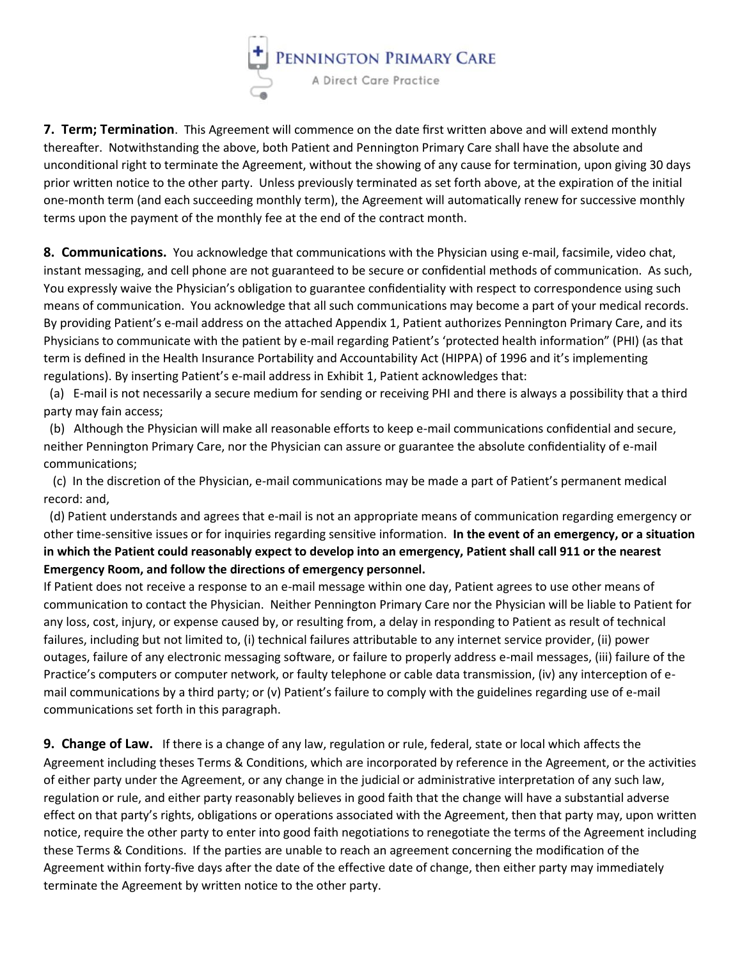

**7. Term; Termination**. This Agreement will commence on the date first written above and will extend monthly thereafter. Notwithstanding the above, both Patient and Pennington Primary Care shall have the absolute and unconditional right to terminate the Agreement, without the showing of any cause for termination, upon giving 30 days prior written notice to the other party. Unless previously terminated as set forth above, at the expiration of the initial one-month term (and each succeeding monthly term), the Agreement will automatically renew for successive monthly terms upon the payment of the monthly fee at the end of the contract month.

**8. Communications.** You acknowledge that communications with the Physician using e-mail, facsimile, video chat, instant messaging, and cell phone are not guaranteed to be secure or confidential methods of communication. As such, You expressly waive the Physician's obligation to guarantee confidentiality with respect to correspondence using such means of communication. You acknowledge that all such communications may become a part of your medical records. By providing Patient's e-mail address on the attached Appendix 1, Patient authorizes Pennington Primary Care, and its Physicians to communicate with the patient by e-mail regarding Patient's 'protected health information" (PHI) (as that term is defined in the Health Insurance Portability and Accountability Act (HIPPA) of 1996 and it's implementing regulations). By inserting Patient's e-mail address in Exhibit 1, Patient acknowledges that:

 (a) E-mail is not necessarily a secure medium for sending or receiving PHI and there is always a possibility that a third party may fain access;

 (b) Although the Physician will make all reasonable efforts to keep e-mail communications confidential and secure, neither Pennington Primary Care, nor the Physician can assure or guarantee the absolute confidentiality of e-mail communications;

 (c) In the discretion of the Physician, e-mail communications may be made a part of Patient's permanent medical record: and,

 (d) Patient understands and agrees that e-mail is not an appropriate means of communication regarding emergency or other time-sensitive issues or for inquiries regarding sensitive information. **In the event of an emergency, or a situation in which the Patient could reasonably expect to develop into an emergency, Patient shall call 911 or the nearest Emergency Room, and follow the directions of emergency personnel.**

If Patient does not receive a response to an e-mail message within one day, Patient agrees to use other means of communication to contact the Physician. Neither Pennington Primary Care nor the Physician will be liable to Patient for any loss, cost, injury, or expense caused by, or resulting from, a delay in responding to Patient as result of technical failures, including but not limited to, (i) technical failures attributable to any internet service provider, (ii) power outages, failure of any electronic messaging software, or failure to properly address e-mail messages, (iii) failure of the Practice's computers or computer network, or faulty telephone or cable data transmission, (iv) any interception of email communications by a third party; or (v) Patient's failure to comply with the guidelines regarding use of e-mail communications set forth in this paragraph.

**9. Change of Law.** If there is a change of any law, regulation or rule, federal, state or local which affects the Agreement including theses Terms & Conditions, which are incorporated by reference in the Agreement, or the activities of either party under the Agreement, or any change in the judicial or administrative interpretation of any such law, regulation or rule, and either party reasonably believes in good faith that the change will have a substantial adverse effect on that party's rights, obligations or operations associated with the Agreement, then that party may, upon written notice, require the other party to enter into good faith negotiations to renegotiate the terms of the Agreement including these Terms & Conditions. If the parties are unable to reach an agreement concerning the modification of the Agreement within forty-five days after the date of the effective date of change, then either party may immediately terminate the Agreement by written notice to the other party.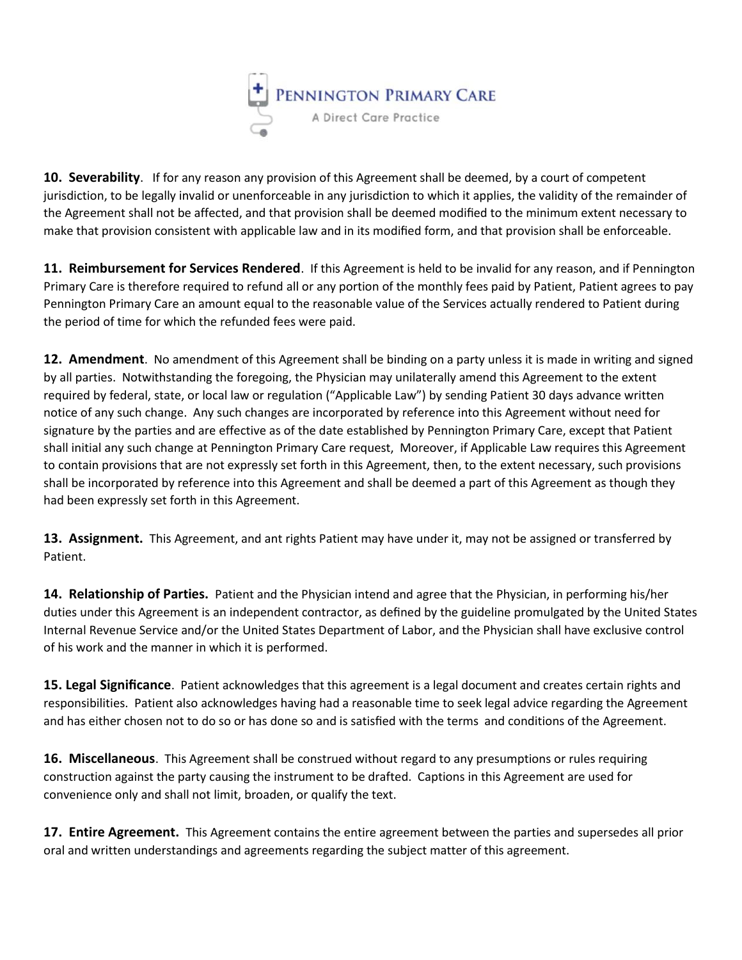

**10. Severability**. If for any reason any provision of this Agreement shall be deemed, by a court of competent jurisdiction, to be legally invalid or unenforceable in any jurisdiction to which it applies, the validity of the remainder of the Agreement shall not be affected, and that provision shall be deemed modified to the minimum extent necessary to make that provision consistent with applicable law and in its modified form, and that provision shall be enforceable.

**11. Reimbursement for Services Rendered**. If this Agreement is held to be invalid for any reason, and if Pennington Primary Care is therefore required to refund all or any portion of the monthly fees paid by Patient, Patient agrees to pay Pennington Primary Care an amount equal to the reasonable value of the Services actually rendered to Patient during the period of time for which the refunded fees were paid.

**12. Amendment**. No amendment of this Agreement shall be binding on a party unless it is made in writing and signed by all parties. Notwithstanding the foregoing, the Physician may unilaterally amend this Agreement to the extent required by federal, state, or local law or regulation ("Applicable Law") by sending Patient 30 days advance written notice of any such change. Any such changes are incorporated by reference into this Agreement without need for signature by the parties and are effective as of the date established by Pennington Primary Care, except that Patient shall initial any such change at Pennington Primary Care request, Moreover, if Applicable Law requires this Agreement to contain provisions that are not expressly set forth in this Agreement, then, to the extent necessary, such provisions shall be incorporated by reference into this Agreement and shall be deemed a part of this Agreement as though they had been expressly set forth in this Agreement.

**13. Assignment.** This Agreement, and ant rights Patient may have under it, may not be assigned or transferred by Patient.

**14. Relationship of Parties.** Patient and the Physician intend and agree that the Physician, in performing his/her duties under this Agreement is an independent contractor, as defined by the guideline promulgated by the United States Internal Revenue Service and/or the United States Department of Labor, and the Physician shall have exclusive control of his work and the manner in which it is performed.

**15. Legal Significance**. Patient acknowledges that this agreement is a legal document and creates certain rights and responsibilities. Patient also acknowledges having had a reasonable time to seek legal advice regarding the Agreement and has either chosen not to do so or has done so and is satisfied with the terms and conditions of the Agreement.

**16. Miscellaneous**. This Agreement shall be construed without regard to any presumptions or rules requiring construction against the party causing the instrument to be drafted. Captions in this Agreement are used for convenience only and shall not limit, broaden, or qualify the text.

**17. Entire Agreement.** This Agreement contains the entire agreement between the parties and supersedes all prior oral and written understandings and agreements regarding the subject matter of this agreement.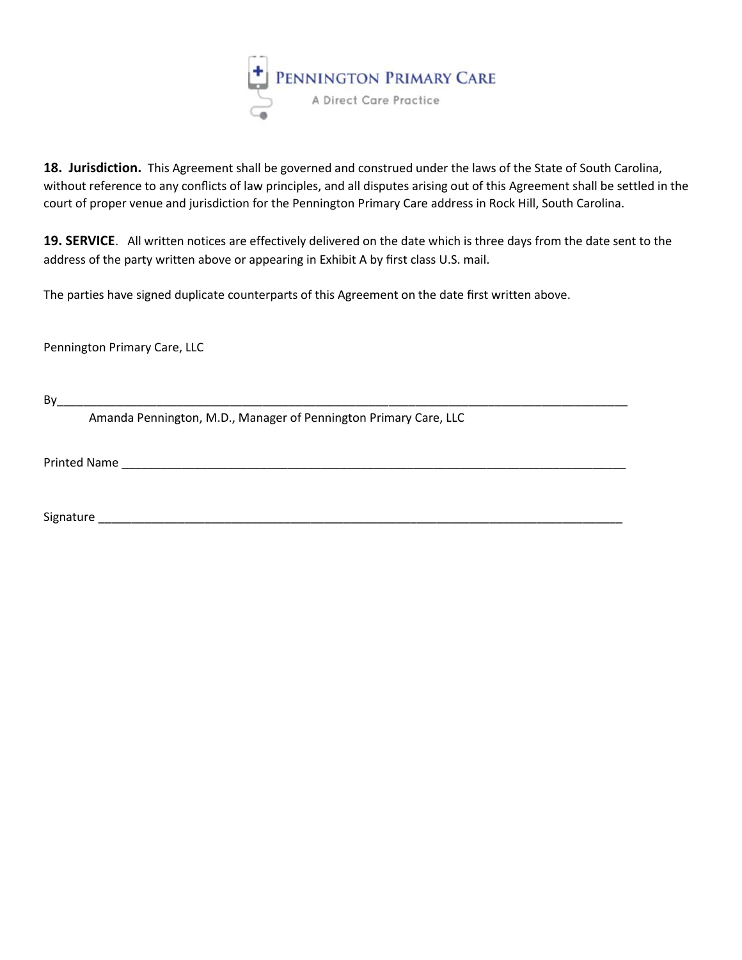

**18. Jurisdiction.** This Agreement shall be governed and construed under the laws of the State of South Carolina, without reference to any conflicts of law principles, and all disputes arising out of this Agreement shall be settled in the court of proper venue and jurisdiction for the Pennington Primary Care address in Rock Hill, South Carolina.

**19. SERVICE**. All written notices are effectively delivered on the date which is three days from the date sent to the address of the party written above or appearing in Exhibit A by first class U.S. mail.

The parties have signed duplicate counterparts of this Agreement on the date first written above.

Pennington Primary Care, LLC

By\_\_\_\_\_\_\_\_\_\_\_\_\_\_\_\_\_\_\_\_\_\_\_\_\_\_\_\_\_\_\_\_\_\_\_\_\_\_\_\_\_\_\_\_\_\_\_\_\_\_\_\_\_\_\_\_\_\_\_\_\_\_\_\_\_\_\_\_\_\_\_\_\_\_\_\_\_\_\_\_\_\_\_\_\_\_

Amanda Pennington, M.D., Manager of Pennington Primary Care, LLC

Printed Name \_\_\_\_\_\_\_\_\_\_\_\_\_\_\_\_\_\_\_\_\_\_\_\_\_\_\_\_\_\_\_\_\_\_\_\_\_\_\_\_\_\_\_\_\_\_\_\_\_\_\_\_\_\_\_\_\_\_\_\_\_\_\_\_\_\_\_\_\_\_\_\_\_\_\_\_

Signature et al. 2010 and 2010 and 2010 and 2010 and 2010 and 2010 and 2010 and 2010 and 2010 and 2010 and 201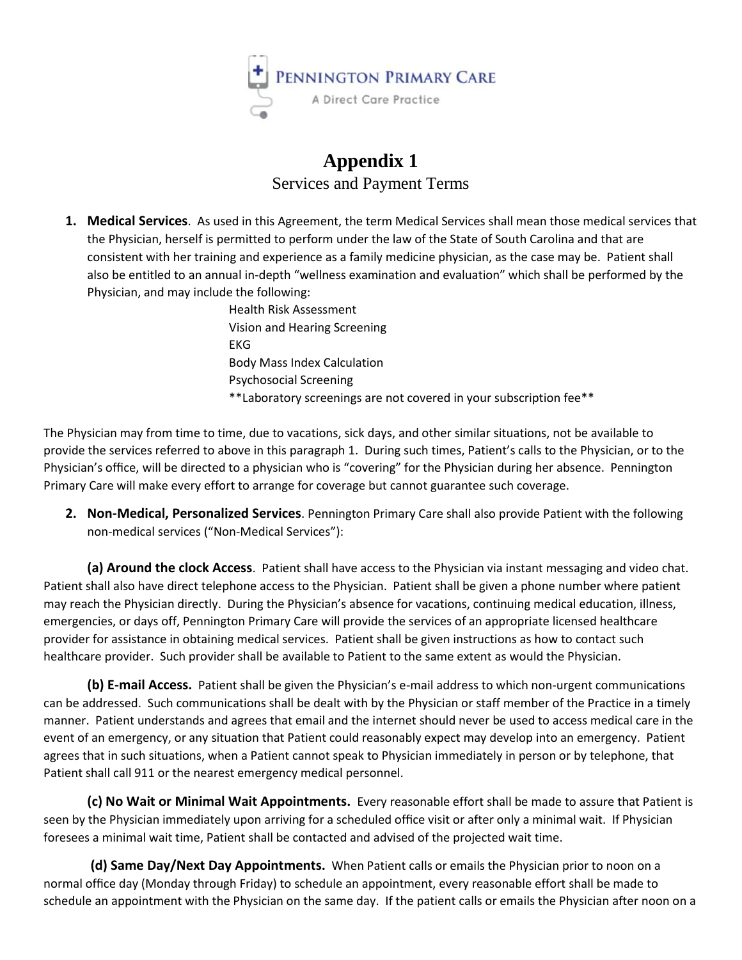

## **Appendix 1** Services and Payment Terms

**1. Medical Services**. As used in this Agreement, the term Medical Services shall mean those medical services that the Physician, herself is permitted to perform under the law of the State of South Carolina and that are consistent with her training and experience as a family medicine physician, as the case may be. Patient shall also be entitled to an annual in-depth "wellness examination and evaluation" which shall be performed by the Physician, and may include the following:

> Health Risk Assessment Vision and Hearing Screening EKG Body Mass Index Calculation Psychosocial Screening \*\*Laboratory screenings are not covered in your subscription fee\*\*

The Physician may from time to time, due to vacations, sick days, and other similar situations, not be available to provide the services referred to above in this paragraph 1. During such times, Patient's calls to the Physician, or to the Physician's office, will be directed to a physician who is "covering" for the Physician during her absence. Pennington Primary Care will make every effort to arrange for coverage but cannot guarantee such coverage.

**2. Non-Medical, Personalized Services**. Pennington Primary Care shall also provide Patient with the following non-medical services ("Non-Medical Services"):

**(a) Around the clock Access**. Patient shall have access to the Physician via instant messaging and video chat. Patient shall also have direct telephone access to the Physician. Patient shall be given a phone number where patient may reach the Physician directly. During the Physician's absence for vacations, continuing medical education, illness, emergencies, or days off, Pennington Primary Care will provide the services of an appropriate licensed healthcare provider for assistance in obtaining medical services. Patient shall be given instructions as how to contact such healthcare provider. Such provider shall be available to Patient to the same extent as would the Physician.

**(b) E-mail Access.** Patient shall be given the Physician's e-mail address to which non-urgent communications can be addressed. Such communications shall be dealt with by the Physician or staff member of the Practice in a timely manner. Patient understands and agrees that email and the internet should never be used to access medical care in the event of an emergency, or any situation that Patient could reasonably expect may develop into an emergency. Patient agrees that in such situations, when a Patient cannot speak to Physician immediately in person or by telephone, that Patient shall call 911 or the nearest emergency medical personnel.

**(c) No Wait or Minimal Wait Appointments.** Every reasonable effort shall be made to assure that Patient is seen by the Physician immediately upon arriving for a scheduled office visit or after only a minimal wait. If Physician foresees a minimal wait time, Patient shall be contacted and advised of the projected wait time.

**(d) Same Day/Next Day Appointments.** When Patient calls or emails the Physician prior to noon on a normal office day (Monday through Friday) to schedule an appointment, every reasonable effort shall be made to schedule an appointment with the Physician on the same day. If the patient calls or emails the Physician after noon on a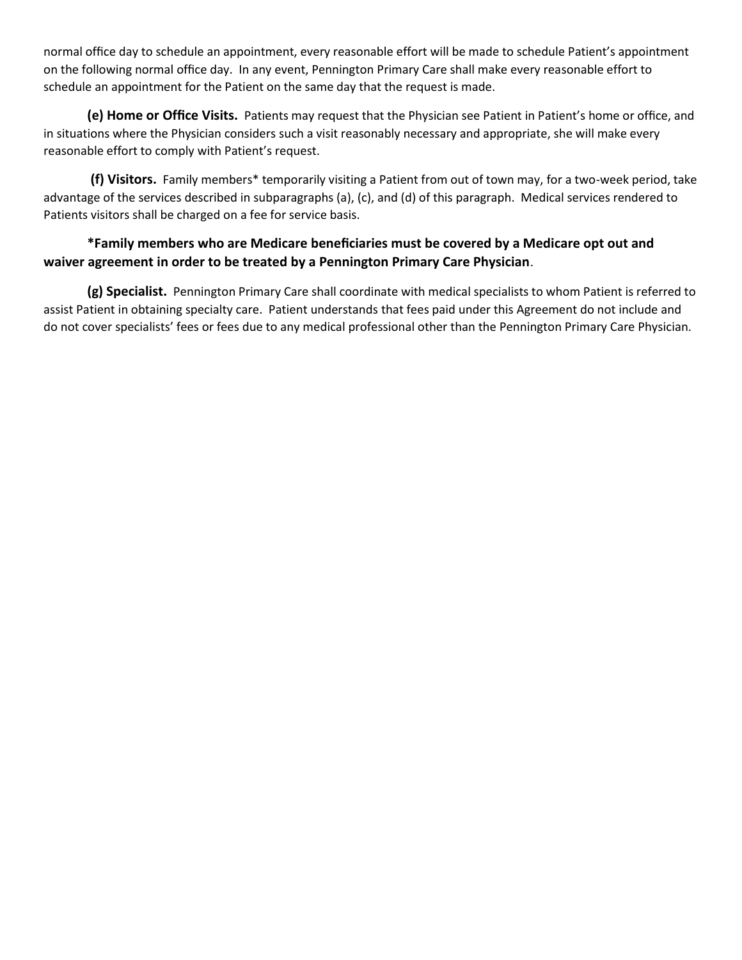normal office day to schedule an appointment, every reasonable effort will be made to schedule Patient's appointment on the following normal office day. In any event, Pennington Primary Care shall make every reasonable effort to schedule an appointment for the Patient on the same day that the request is made.

**(e) Home or Office Visits.** Patients may request that the Physician see Patient in Patient's home or office, and in situations where the Physician considers such a visit reasonably necessary and appropriate, she will make every reasonable effort to comply with Patient's request.

**(f) Visitors.** Family members\* temporarily visiting a Patient from out of town may, for a two-week period, take advantage of the services described in subparagraphs (a), (c), and (d) of this paragraph. Medical services rendered to Patients visitors shall be charged on a fee for service basis.

## **\*Family members who are Medicare beneficiaries must be covered by a Medicare opt out and waiver agreement in order to be treated by a Pennington Primary Care Physician**.

**(g) Specialist.** Pennington Primary Care shall coordinate with medical specialists to whom Patient is referred to assist Patient in obtaining specialty care. Patient understands that fees paid under this Agreement do not include and do not cover specialists' fees or fees due to any medical professional other than the Pennington Primary Care Physician.